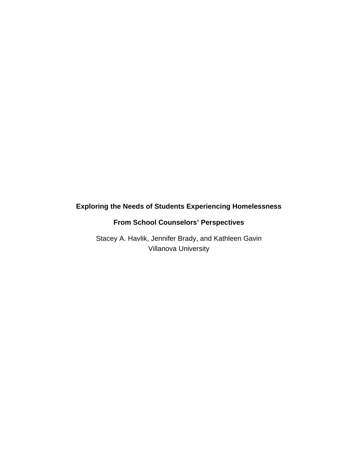# **Exploring the Needs of Students Experiencing Homelessness**

# **From School Counselors' Perspectives**

Stacey A. Havlik, Jennifer Brady, and Kathleen Gavin Villanova University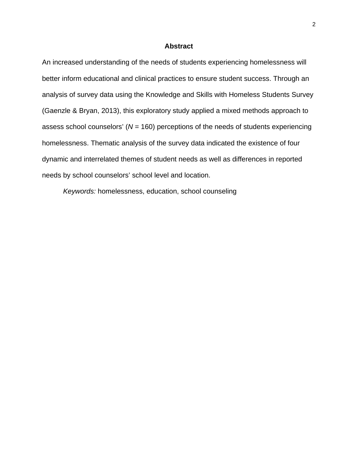## **Abstract**

An increased understanding of the needs of students experiencing homelessness will better inform educational and clinical practices to ensure student success. Through an analysis of survey data using the Knowledge and Skills with Homeless Students Survey (Gaenzle & Bryan, 2013), this exploratory study applied a mixed methods approach to assess school counselors' (*N* = 160) perceptions of the needs of students experiencing homelessness. Thematic analysis of the survey data indicated the existence of four dynamic and interrelated themes of student needs as well as differences in reported needs by school counselors' school level and location.

*Keywords:* homelessness, education, school counseling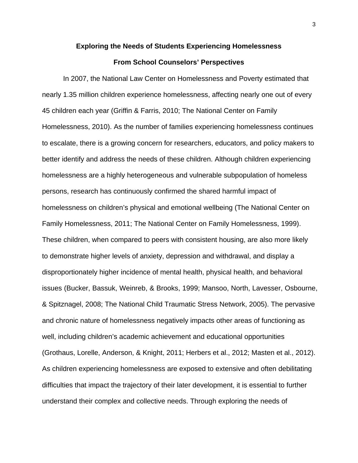#### **Exploring the Needs of Students Experiencing Homelessness**

## **From School Counselors' Perspectives**

In 2007, the National Law Center on Homelessness and Poverty estimated that nearly 1.35 million children experience homelessness, affecting nearly one out of every 45 children each year (Griffin & Farris, 2010; The National Center on Family Homelessness, 2010). As the number of families experiencing homelessness continues to escalate, there is a growing concern for researchers, educators, and policy makers to better identify and address the needs of these children. Although children experiencing homelessness are a highly heterogeneous and vulnerable subpopulation of homeless persons, research has continuously confirmed the shared harmful impact of homelessness on children's physical and emotional wellbeing (The National Center on Family Homelessness, 2011; The National Center on Family Homelessness, 1999). These children, when compared to peers with consistent housing, are also more likely to demonstrate higher levels of anxiety, depression and withdrawal, and display a disproportionately higher incidence of mental health, physical health, and behavioral issues (Bucker, Bassuk, Weinreb, & Brooks, 1999; Mansoo, North, Lavesser, Osbourne, & Spitznagel, 2008; The National Child Traumatic Stress Network, 2005). The pervasive and chronic nature of homelessness negatively impacts other areas of functioning as well, including children's academic achievement and educational opportunities (Grothaus, Lorelle, Anderson, & Knight, 2011; Herbers et al., 2012; Masten et al., 2012). As children experiencing homelessness are exposed to extensive and often debilitating difficulties that impact the trajectory of their later development, it is essential to further understand their complex and collective needs. Through exploring the needs of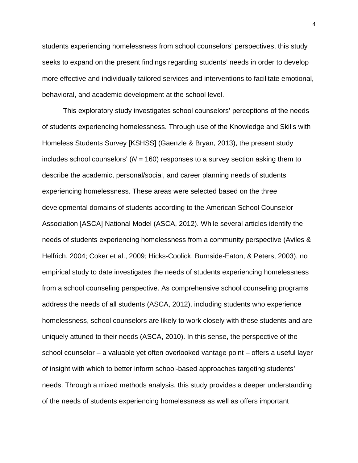students experiencing homelessness from school counselors' perspectives, this study seeks to expand on the present findings regarding students' needs in order to develop more effective and individually tailored services and interventions to facilitate emotional, behavioral, and academic development at the school level.

This exploratory study investigates school counselors' perceptions of the needs of students experiencing homelessness. Through use of the Knowledge and Skills with Homeless Students Survey [KSHSS] (Gaenzle & Bryan, 2013), the present study includes school counselors' (*N* = 160) responses to a survey section asking them to describe the academic, personal/social, and career planning needs of students experiencing homelessness. These areas were selected based on the three developmental domains of students according to the American School Counselor Association [ASCA] National Model (ASCA, 2012). While several articles identify the needs of students experiencing homelessness from a community perspective (Aviles & Helfrich, 2004; Coker et al., 2009; Hicks-Coolick, Burnside-Eaton, & Peters, 2003), no empirical study to date investigates the needs of students experiencing homelessness from a school counseling perspective. As comprehensive school counseling programs address the needs of all students (ASCA, 2012), including students who experience homelessness, school counselors are likely to work closely with these students and are uniquely attuned to their needs (ASCA, 2010). In this sense, the perspective of the school counselor – a valuable yet often overlooked vantage point – offers a useful layer of insight with which to better inform school-based approaches targeting students' needs. Through a mixed methods analysis, this study provides a deeper understanding of the needs of students experiencing homelessness as well as offers important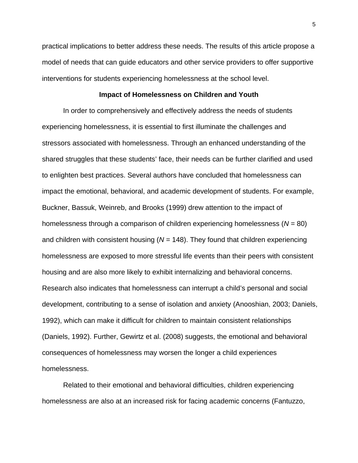practical implications to better address these needs. The results of this article propose a model of needs that can guide educators and other service providers to offer supportive interventions for students experiencing homelessness at the school level.

## **Impact of Homelessness on Children and Youth**

In order to comprehensively and effectively address the needs of students experiencing homelessness, it is essential to first illuminate the challenges and stressors associated with homelessness. Through an enhanced understanding of the shared struggles that these students' face, their needs can be further clarified and used to enlighten best practices. Several authors have concluded that homelessness can impact the emotional, behavioral, and academic development of students. For example, Buckner, Bassuk, Weinreb, and Brooks (1999) drew attention to the impact of homelessness through a comparison of children experiencing homelessness (*N* = 80) and children with consistent housing (*N* = 148). They found that children experiencing homelessness are exposed to more stressful life events than their peers with consistent housing and are also more likely to exhibit internalizing and behavioral concerns. Research also indicates that homelessness can interrupt a child's personal and social development, contributing to a sense of isolation and anxiety (Anooshian, 2003; Daniels, 1992), which can make it difficult for children to maintain consistent relationships (Daniels, 1992). Further, Gewirtz et al. (2008) suggests, the emotional and behavioral consequences of homelessness may worsen the longer a child experiences homelessness.

Related to their emotional and behavioral difficulties, children experiencing homelessness are also at an increased risk for facing academic concerns (Fantuzzo,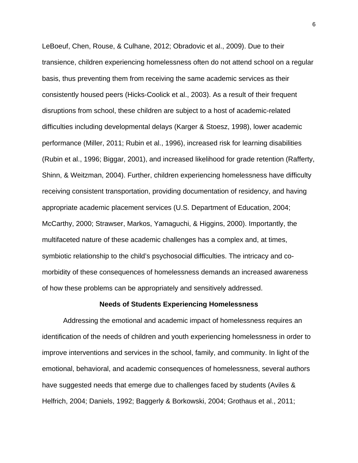LeBoeuf, Chen, Rouse, & Culhane, 2012; Obradovic et al., 2009). Due to their transience, children experiencing homelessness often do not attend school on a regular basis, thus preventing them from receiving the same academic services as their consistently housed peers (Hicks-Coolick et al., 2003). As a result of their frequent disruptions from school, these children are subject to a host of academic-related difficulties including developmental delays (Karger & Stoesz, 1998), lower academic performance (Miller, 2011; Rubin et al., 1996), increased risk for learning disabilities (Rubin et al., 1996; Biggar, 2001), and increased likelihood for grade retention (Rafferty, Shinn, & Weitzman, 2004). Further, children experiencing homelessness have difficulty receiving consistent transportation, providing documentation of residency, and having appropriate academic placement services (U.S. Department of Education, 2004; McCarthy, 2000; Strawser, Markos, Yamaguchi, & Higgins, 2000). Importantly, the multifaceted nature of these academic challenges has a complex and, at times, symbiotic relationship to the child's psychosocial difficulties. The intricacy and comorbidity of these consequences of homelessness demands an increased awareness of how these problems can be appropriately and sensitively addressed.

#### **Needs of Students Experiencing Homelessness**

Addressing the emotional and academic impact of homelessness requires an identification of the needs of children and youth experiencing homelessness in order to improve interventions and services in the school, family, and community. In light of the emotional, behavioral, and academic consequences of homelessness, several authors have suggested needs that emerge due to challenges faced by students (Aviles & Helfrich, 2004; Daniels, 1992; Baggerly & Borkowski, 2004; Grothaus et al., 2011;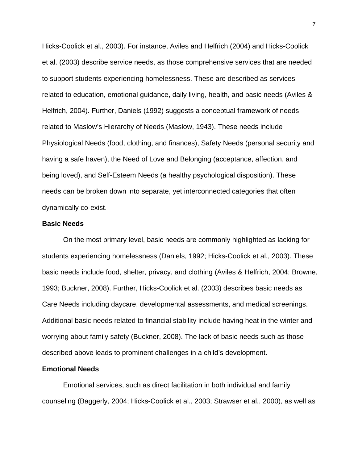Hicks-Coolick et al., 2003). For instance, Aviles and Helfrich (2004) and Hicks-Coolick et al. (2003) describe service needs, as those comprehensive services that are needed to support students experiencing homelessness. These are described as services related to education, emotional guidance, daily living, health, and basic needs (Aviles & Helfrich, 2004). Further, Daniels (1992) suggests a conceptual framework of needs related to Maslow's Hierarchy of Needs (Maslow, 1943). These needs include Physiological Needs (food, clothing, and finances), Safety Needs (personal security and having a safe haven), the Need of Love and Belonging (acceptance, affection, and being loved), and Self-Esteem Needs (a healthy psychological disposition). These needs can be broken down into separate, yet interconnected categories that often dynamically co-exist.

#### **Basic Needs**

On the most primary level, basic needs are commonly highlighted as lacking for students experiencing homelessness (Daniels, 1992; Hicks-Coolick et al., 2003). These basic needs include food, shelter, privacy, and clothing (Aviles & Helfrich, 2004; Browne, 1993; Buckner, 2008). Further, Hicks-Coolick et al. (2003) describes basic needs as Care Needs including daycare, developmental assessments, and medical screenings. Additional basic needs related to financial stability include having heat in the winter and worrying about family safety (Buckner, 2008). The lack of basic needs such as those described above leads to prominent challenges in a child's development.

#### **Emotional Needs**

Emotional services, such as direct facilitation in both individual and family counseling (Baggerly, 2004; Hicks-Coolick et al., 2003; Strawser et al., 2000), as well as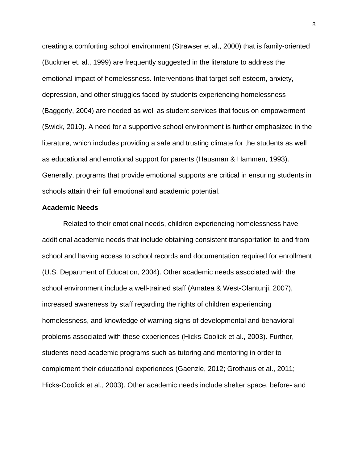creating a comforting school environment (Strawser et al., 2000) that is family-oriented (Buckner et. al., 1999) are frequently suggested in the literature to address the emotional impact of homelessness. Interventions that target self-esteem, anxiety, depression, and other struggles faced by students experiencing homelessness (Baggerly, 2004) are needed as well as student services that focus on empowerment (Swick, 2010). A need for a supportive school environment is further emphasized in the literature, which includes providing a safe and trusting climate for the students as well as educational and emotional support for parents (Hausman & Hammen, 1993). Generally, programs that provide emotional supports are critical in ensuring students in schools attain their full emotional and academic potential.

#### **Academic Needs**

Related to their emotional needs, children experiencing homelessness have additional academic needs that include obtaining consistent transportation to and from school and having access to school records and documentation required for enrollment (U.S. Department of Education, 2004). Other academic needs associated with the school environment include a well-trained staff (Amatea & West-Olantunji, 2007), increased awareness by staff regarding the rights of children experiencing homelessness, and knowledge of warning signs of developmental and behavioral problems associated with these experiences (Hicks-Coolick et al., 2003). Further, students need academic programs such as tutoring and mentoring in order to complement their educational experiences (Gaenzle, 2012; Grothaus et al., 2011; Hicks-Coolick et al., 2003). Other academic needs include shelter space, before- and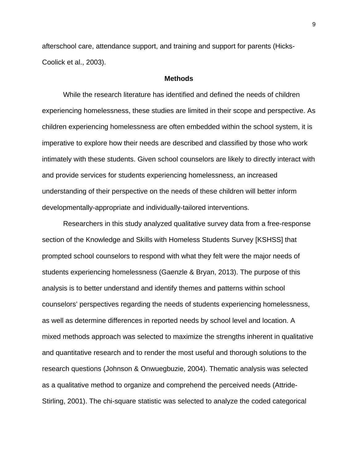afterschool care, attendance support, and training and support for parents (Hicks-Coolick et al., 2003).

## **Methods**

While the research literature has identified and defined the needs of children experiencing homelessness, these studies are limited in their scope and perspective. As children experiencing homelessness are often embedded within the school system, it is imperative to explore how their needs are described and classified by those who work intimately with these students. Given school counselors are likely to directly interact with and provide services for students experiencing homelessness, an increased understanding of their perspective on the needs of these children will better inform developmentally-appropriate and individually-tailored interventions.

Researchers in this study analyzed qualitative survey data from a free-response section of the Knowledge and Skills with Homeless Students Survey [KSHSS] that prompted school counselors to respond with what they felt were the major needs of students experiencing homelessness (Gaenzle & Bryan, 2013). The purpose of this analysis is to better understand and identify themes and patterns within school counselors' perspectives regarding the needs of students experiencing homelessness, as well as determine differences in reported needs by school level and location. A mixed methods approach was selected to maximize the strengths inherent in qualitative and quantitative research and to render the most useful and thorough solutions to the research questions (Johnson & Onwuegbuzie, 2004). Thematic analysis was selected as a qualitative method to organize and comprehend the perceived needs (Attride-Stirling, 2001). The chi-square statistic was selected to analyze the coded categorical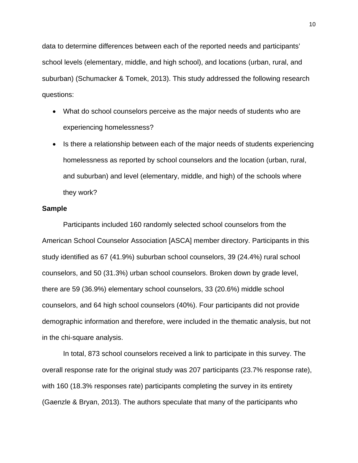data to determine differences between each of the reported needs and participants' school levels (elementary, middle, and high school), and locations (urban, rural, and suburban) (Schumacker & Tomek, 2013). This study addressed the following research questions:

- What do school counselors perceive as the major needs of students who are experiencing homelessness?
- Is there a relationship between each of the major needs of students experiencing homelessness as reported by school counselors and the location (urban, rural, and suburban) and level (elementary, middle, and high) of the schools where they work?

#### **Sample**

Participants included 160 randomly selected school counselors from the American School Counselor Association [ASCA] member directory. Participants in this study identified as 67 (41.9%) suburban school counselors, 39 (24.4%) rural school counselors, and 50 (31.3%) urban school counselors. Broken down by grade level, there are 59 (36.9%) elementary school counselors, 33 (20.6%) middle school counselors, and 64 high school counselors (40%). Four participants did not provide demographic information and therefore, were included in the thematic analysis, but not in the chi-square analysis.

In total, 873 school counselors received a link to participate in this survey. The overall response rate for the original study was 207 participants (23.7% response rate), with 160 (18.3% responses rate) participants completing the survey in its entirety (Gaenzle & Bryan, 2013). The authors speculate that many of the participants who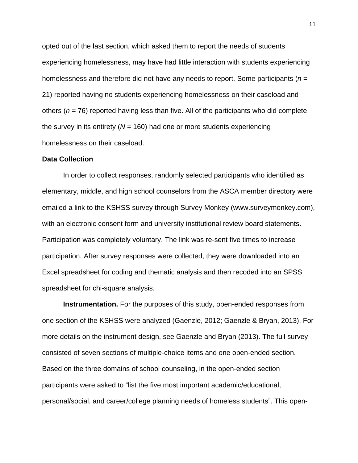opted out of the last section, which asked them to report the needs of students experiencing homelessness, may have had little interaction with students experiencing homelessness and therefore did not have any needs to report. Some participants (*n* = 21) reported having no students experiencing homelessness on their caseload and others (*n* = 76) reported having less than five. All of the participants who did complete the survey in its entirety (*N* = 160) had one or more students experiencing homelessness on their caseload.

#### **Data Collection**

In order to collect responses, randomly selected participants who identified as elementary, middle, and high school counselors from the ASCA member directory were emailed a link to the KSHSS survey through Survey Monkey (www.surveymonkey.com), with an electronic consent form and university institutional review board statements. Participation was completely voluntary. The link was re-sent five times to increase participation. After survey responses were collected, they were downloaded into an Excel spreadsheet for coding and thematic analysis and then recoded into an SPSS spreadsheet for chi-square analysis.

**Instrumentation.** For the purposes of this study, open-ended responses from one section of the KSHSS were analyzed (Gaenzle, 2012; Gaenzle & Bryan, 2013). For more details on the instrument design, see Gaenzle and Bryan (2013). The full survey consisted of seven sections of multiple-choice items and one open-ended section. Based on the three domains of school counseling, in the open-ended section participants were asked to "list the five most important academic/educational, personal/social, and career/college planning needs of homeless students". This open-

11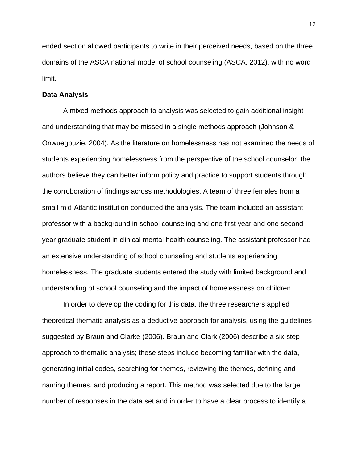ended section allowed participants to write in their perceived needs, based on the three domains of the ASCA national model of school counseling (ASCA, 2012), with no word limit.

## **Data Analysis**

A mixed methods approach to analysis was selected to gain additional insight and understanding that may be missed in a single methods approach (Johnson & Onwuegbuzie, 2004). As the literature on homelessness has not examined the needs of students experiencing homelessness from the perspective of the school counselor, the authors believe they can better inform policy and practice to support students through the corroboration of findings across methodologies. A team of three females from a small mid-Atlantic institution conducted the analysis. The team included an assistant professor with a background in school counseling and one first year and one second year graduate student in clinical mental health counseling. The assistant professor had an extensive understanding of school counseling and students experiencing homelessness. The graduate students entered the study with limited background and understanding of school counseling and the impact of homelessness on children.

In order to develop the coding for this data, the three researchers applied theoretical thematic analysis as a deductive approach for analysis, using the guidelines suggested by Braun and Clarke (2006). Braun and Clark (2006) describe a six-step approach to thematic analysis; these steps include becoming familiar with the data, generating initial codes, searching for themes, reviewing the themes, defining and naming themes, and producing a report. This method was selected due to the large number of responses in the data set and in order to have a clear process to identify a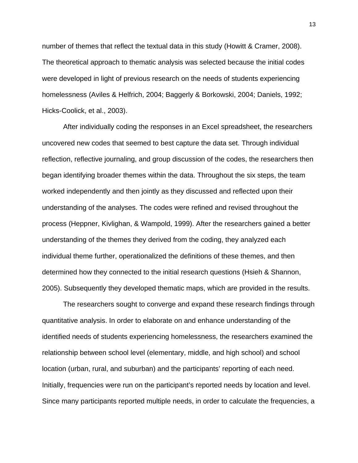number of themes that reflect the textual data in this study (Howitt & Cramer, 2008). The theoretical approach to thematic analysis was selected because the initial codes were developed in light of previous research on the needs of students experiencing homelessness (Aviles & Helfrich, 2004; Baggerly & Borkowski, 2004; Daniels, 1992; Hicks-Coolick, et al., 2003).

After individually coding the responses in an Excel spreadsheet, the researchers uncovered new codes that seemed to best capture the data set. Through individual reflection, reflective journaling, and group discussion of the codes, the researchers then began identifying broader themes within the data. Throughout the six steps, the team worked independently and then jointly as they discussed and reflected upon their understanding of the analyses. The codes were refined and revised throughout the process (Heppner, Kivlighan, & Wampold, 1999). After the researchers gained a better understanding of the themes they derived from the coding, they analyzed each individual theme further, operationalized the definitions of these themes, and then determined how they connected to the initial research questions (Hsieh & Shannon, 2005). Subsequently they developed thematic maps, which are provided in the results.

The researchers sought to converge and expand these research findings through quantitative analysis. In order to elaborate on and enhance understanding of the identified needs of students experiencing homelessness, the researchers examined the relationship between school level (elementary, middle, and high school) and school location (urban, rural, and suburban) and the participants' reporting of each need. Initially, frequencies were run on the participant's reported needs by location and level. Since many participants reported multiple needs, in order to calculate the frequencies, a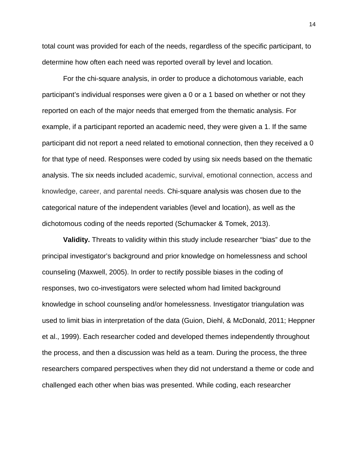total count was provided for each of the needs, regardless of the specific participant, to determine how often each need was reported overall by level and location.

For the chi-square analysis, in order to produce a dichotomous variable, each participant's individual responses were given a 0 or a 1 based on whether or not they reported on each of the major needs that emerged from the thematic analysis. For example, if a participant reported an academic need, they were given a 1. If the same participant did not report a need related to emotional connection, then they received a 0 for that type of need. Responses were coded by using six needs based on the thematic analysis. The six needs included academic, survival, emotional connection, access and knowledge, career, and parental needs. Chi-square analysis was chosen due to the categorical nature of the independent variables (level and location), as well as the dichotomous coding of the needs reported (Schumacker & Tomek, 2013).

**Validity.** Threats to validity within this study include researcher "bias" due to the principal investigator's background and prior knowledge on homelessness and school counseling (Maxwell, 2005). In order to rectify possible biases in the coding of responses, two co-investigators were selected whom had limited background knowledge in school counseling and/or homelessness. Investigator triangulation was used to limit bias in interpretation of the data (Guion, Diehl, & McDonald, 2011; Heppner et al., 1999). Each researcher coded and developed themes independently throughout the process, and then a discussion was held as a team. During the process, the three researchers compared perspectives when they did not understand a theme or code and challenged each other when bias was presented. While coding, each researcher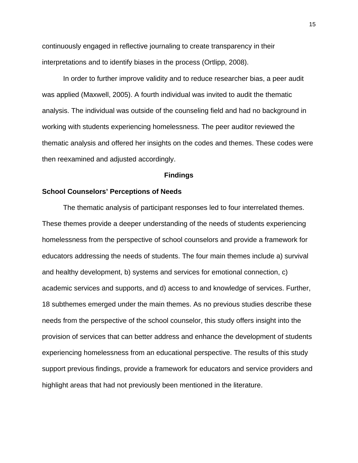continuously engaged in reflective journaling to create transparency in their interpretations and to identify biases in the process (Ortlipp, 2008).

In order to further improve validity and to reduce researcher bias, a peer audit was applied (Maxwell, 2005). A fourth individual was invited to audit the thematic analysis. The individual was outside of the counseling field and had no background in working with students experiencing homelessness. The peer auditor reviewed the thematic analysis and offered her insights on the codes and themes. These codes were then reexamined and adjusted accordingly.

#### **Findings**

#### **School Counselors' Perceptions of Needs**

The thematic analysis of participant responses led to four interrelated themes. These themes provide a deeper understanding of the needs of students experiencing homelessness from the perspective of school counselors and provide a framework for educators addressing the needs of students. The four main themes include a) survival and healthy development, b) systems and services for emotional connection, c) academic services and supports, and d) access to and knowledge of services. Further, 18 subthemes emerged under the main themes. As no previous studies describe these needs from the perspective of the school counselor, this study offers insight into the provision of services that can better address and enhance the development of students experiencing homelessness from an educational perspective. The results of this study support previous findings, provide a framework for educators and service providers and highlight areas that had not previously been mentioned in the literature.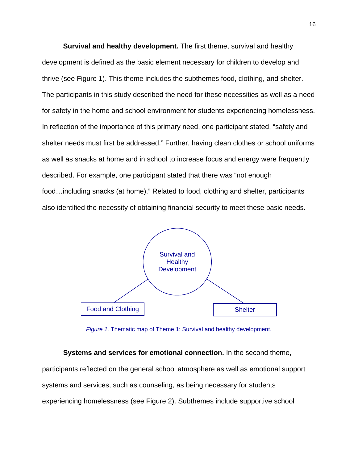**Survival and healthy development.** The first theme, survival and healthy development is defined as the basic element necessary for children to develop and thrive (see Figure 1). This theme includes the subthemes food, clothing, and shelter. The participants in this study described the need for these necessities as well as a need for safety in the home and school environment for students experiencing homelessness. In reflection of the importance of this primary need, one participant stated, "safety and shelter needs must first be addressed." Further, having clean clothes or school uniforms as well as snacks at home and in school to increase focus and energy were frequently described. For example, one participant stated that there was "not enough food…including snacks (at home)." Related to food, clothing and shelter, participants also identified the necessity of obtaining financial security to meet these basic needs.



*Figure 1.* Thematic map of Theme 1: Survival and healthy development.

**Systems and services for emotional connection.** In the second theme, participants reflected on the general school atmosphere as well as emotional support systems and services, such as counseling, as being necessary for students

experiencing homelessness (see Figure 2). Subthemes include supportive school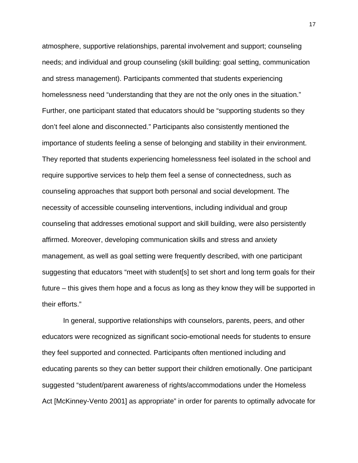atmosphere, supportive relationships, parental involvement and support; counseling needs; and individual and group counseling (skill building: goal setting, communication and stress management). Participants commented that students experiencing homelessness need "understanding that they are not the only ones in the situation." Further, one participant stated that educators should be "supporting students so they don't feel alone and disconnected." Participants also consistently mentioned the importance of students feeling a sense of belonging and stability in their environment. They reported that students experiencing homelessness feel isolated in the school and require supportive services to help them feel a sense of connectedness, such as counseling approaches that support both personal and social development. The necessity of accessible counseling interventions, including individual and group counseling that addresses emotional support and skill building, were also persistently affirmed. Moreover, developing communication skills and stress and anxiety management, as well as goal setting were frequently described, with one participant suggesting that educators "meet with student[s] to set short and long term goals for their future – this gives them hope and a focus as long as they know they will be supported in their efforts."

In general, supportive relationships with counselors, parents, peers, and other educators were recognized as significant socio-emotional needs for students to ensure they feel supported and connected. Participants often mentioned including and educating parents so they can better support their children emotionally. One participant suggested "student/parent awareness of rights/accommodations under the Homeless Act [McKinney-Vento 2001] as appropriate" in order for parents to optimally advocate for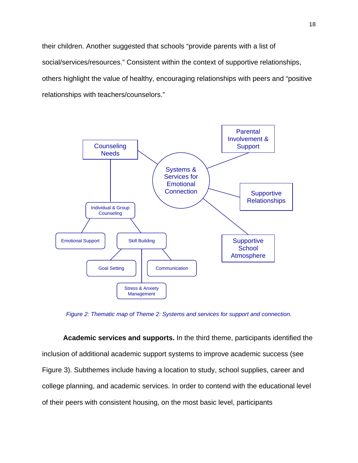their children. Another suggested that schools "provide parents with a list of social/services/resources." Consistent within the context of supportive relationships, others highlight the value of healthy, encouraging relationships with peers and "positive relationships with teachers/counselors."



*Figure 2: Thematic map of Theme 2: Systems and services for support and connection.* 

**Academic services and supports.** In the third theme, participants identified the inclusion of additional academic support systems to improve academic success (see Figure 3). Subthemes include having a location to study, school supplies, career and college planning, and academic services. In order to contend with the educational level of their peers with consistent housing, on the most basic level, participants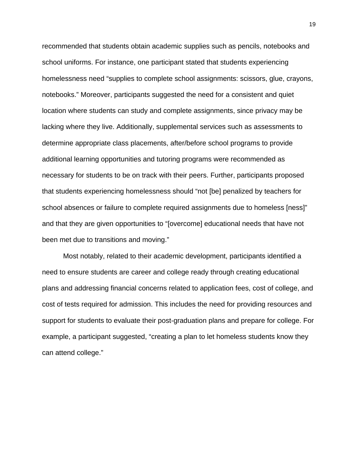recommended that students obtain academic supplies such as pencils, notebooks and school uniforms. For instance, one participant stated that students experiencing homelessness need "supplies to complete school assignments: scissors, glue, crayons, notebooks." Moreover, participants suggested the need for a consistent and quiet location where students can study and complete assignments, since privacy may be lacking where they live. Additionally, supplemental services such as assessments to determine appropriate class placements, after/before school programs to provide additional learning opportunities and tutoring programs were recommended as necessary for students to be on track with their peers. Further, participants proposed that students experiencing homelessness should "not [be] penalized by teachers for school absences or failure to complete required assignments due to homeless [ness]" and that they are given opportunities to "[overcome] educational needs that have not been met due to transitions and moving."

Most notably, related to their academic development, participants identified a need to ensure students are career and college ready through creating educational plans and addressing financial concerns related to application fees, cost of college, and cost of tests required for admission. This includes the need for providing resources and support for students to evaluate their post-graduation plans and prepare for college. For example, a participant suggested, "creating a plan to let homeless students know they can attend college."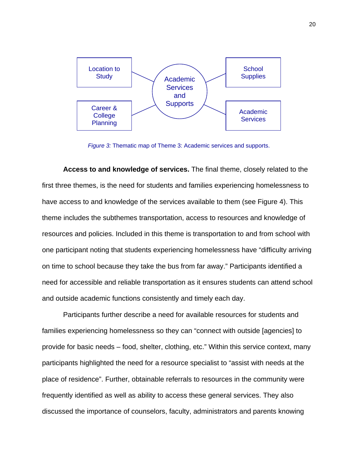

*Figure 3:* Thematic map of Theme 3: Academic services and supports.

**Access to and knowledge of services.** The final theme, closely related to the first three themes, is the need for students and families experiencing homelessness to have access to and knowledge of the services available to them (see Figure 4). This theme includes the subthemes transportation, access to resources and knowledge of resources and policies. Included in this theme is transportation to and from school with one participant noting that students experiencing homelessness have "difficulty arriving on time to school because they take the bus from far away." Participants identified a need for accessible and reliable transportation as it ensures students can attend school and outside academic functions consistently and timely each day.

Participants further describe a need for available resources for students and families experiencing homelessness so they can "connect with outside [agencies] to provide for basic needs – food, shelter, clothing, etc." Within this service context, many participants highlighted the need for a resource specialist to "assist with needs at the place of residence". Further, obtainable referrals to resources in the community were frequently identified as well as ability to access these general services. They also discussed the importance of counselors, faculty, administrators and parents knowing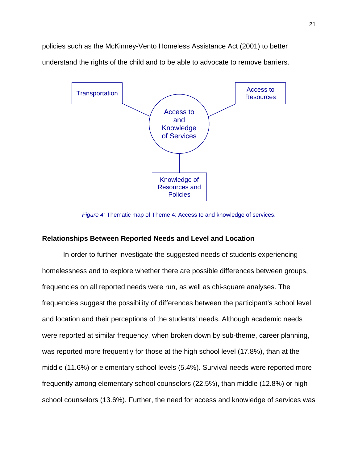policies such as the McKinney-Vento Homeless Assistance Act (2001) to better understand the rights of the child and to be able to advocate to remove barriers.



*Figure 4:* Thematic map of Theme 4: Access to and knowledge of services.

## **Relationships Between Reported Needs and Level and Location**

In order to further investigate the suggested needs of students experiencing homelessness and to explore whether there are possible differences between groups, frequencies on all reported needs were run, as well as chi-square analyses. The frequencies suggest the possibility of differences between the participant's school level and location and their perceptions of the students' needs. Although academic needs were reported at similar frequency, when broken down by sub-theme, career planning, was reported more frequently for those at the high school level (17.8%), than at the middle (11.6%) or elementary school levels (5.4%). Survival needs were reported more frequently among elementary school counselors (22.5%), than middle (12.8%) or high school counselors (13.6%). Further, the need for access and knowledge of services was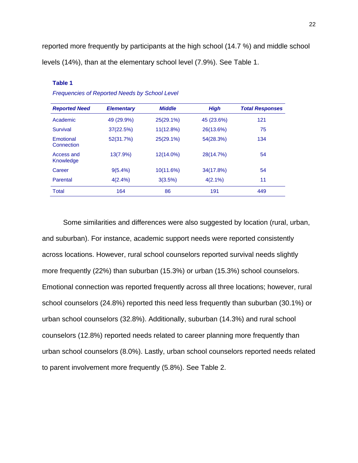reported more frequently by participants at the high school (14.7 %) and middle school levels (14%), than at the elementary school level (7.9%). See Table 1.

| <b>Reported Need</b>    | <b>Elementary</b> | <b>Middle</b> | <b>High</b> | <b>Total Responses</b> |
|-------------------------|-------------------|---------------|-------------|------------------------|
| Academic                | 49 (29.9%)        | $25(29.1\%)$  | 45 (23.6%)  | 121                    |
| Survival                | 37(22.5%)         | 11(12.8%)     | 26(13.6%)   | 75                     |
| Emotional<br>Connection | 52(31.7%)         | $25(29.1\%)$  | 54(28.3%)   | 134                    |
| Access and<br>Knowledge | $13(7.9\%)$       | 12(14.0%)     | 28(14.7%)   | 54                     |
| Career                  | $9(5.4\%)$        | 10(11.6%)     | 34(17.8%)   | 54                     |
| Parental                | $4(2.4\%)$        | 3(3.5%)       | $4(2.1\%)$  | 11                     |
| Total                   | 164               | 86            | 191         | 449                    |

## **Table 1**

*Frequencies of Reported Needs by School Level* 

Some similarities and differences were also suggested by location (rural, urban, and suburban). For instance, academic support needs were reported consistently across locations. However, rural school counselors reported survival needs slightly more frequently (22%) than suburban (15.3%) or urban (15.3%) school counselors. Emotional connection was reported frequently across all three locations; however, rural school counselors (24.8%) reported this need less frequently than suburban (30.1%) or urban school counselors (32.8%). Additionally, suburban (14.3%) and rural school counselors (12.8%) reported needs related to career planning more frequently than urban school counselors (8.0%). Lastly, urban school counselors reported needs related to parent involvement more frequently (5.8%). See Table 2.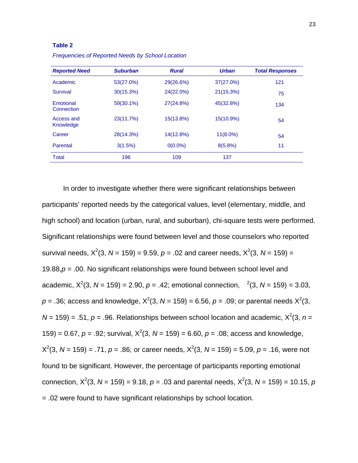#### **Table 2**

| <b>Reported Need</b>    | <b>Suburban</b> | <b>Rural</b> | <b>Urban</b> | <b>Total Responses</b> |
|-------------------------|-----------------|--------------|--------------|------------------------|
| Academic                | 53(27.0%)       | 29(26.6%)    | 37(27.0%)    | 121                    |
| Survival                | $30(15.3\%)$    | 24(22.0%)    | 21(15.3%)    | 75                     |
| Emotional<br>Connection | 59(30.1%)       | 27(24.8%)    | 45(32.8%)    | 134                    |
| Access and<br>Knowledge | 23(11.7%)       | 15(13.8%)    | 15(10.9%)    | 54                     |
| Career                  | 28(14.3%)       | 14(12.8%)    | $11(8.0\%)$  | 54                     |
| Parental                | 3(1.5%)         | $0(0.0\%)$   | 8(5.8%)      | 11                     |
| <b>Total</b>            | 196             | 109          | 137          |                        |

*Frequencies of Reported Needs by School Location* 

In order to investigate whether there were significant relationships between participants' reported needs by the categorical values, level (elementary, middle, and high school) and location (urban, rural, and suburban), chi-square tests were performed. Significant relationships were found between level and those counselors who reported survival needs,  $X^2(3, N = 159) = 9.59, p = .02$  and career needs,  $X^2(3, N = 159) =$ 19.88,*p* = .00. No significant relationships were found between school level and academic,  $X^2(3, N = 159) = 2.90, p = .42$ ; emotional connection,  $^2(3, N = 159) = 3.03$ ,  $p = .36$ ; access and knowledge,  $X^2(3, N = 159) = 6.56$ ,  $p = .09$ ; or parental needs  $X^2(3, N = 159)$  $N = 159$ ) = .51,  $p = .96$ . Relationships between school location and academic,  $X^2(3, n = 159)$ 159) = 0.67,  $p = .92$ ; survival,  $X^2(3, N = 159) = 6.60$ ,  $p = .08$ ; access and knowledge,  $X^2(3, N = 159) = .71, p = .86$ ; or career needs,  $X^2(3, N = 159) = 5.09, p = .16$ , were not found to be significant. However, the percentage of participants reporting emotional connection,  $X^2(3, N = 159) = 9.18$ ,  $p = .03$  and parental needs,  $X^2(3, N = 159) = 10.15$ ,  $p$ = .02 were found to have significant relationships by school location.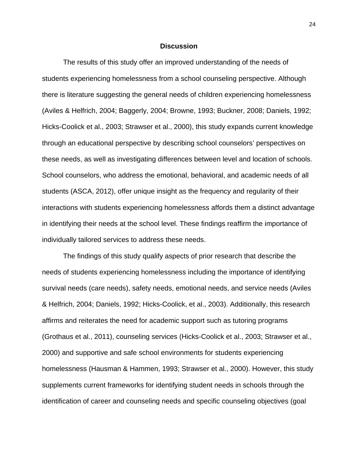## **Discussion**

The results of this study offer an improved understanding of the needs of students experiencing homelessness from a school counseling perspective. Although there is literature suggesting the general needs of children experiencing homelessness (Aviles & Helfrich, 2004; Baggerly, 2004; Browne, 1993; Buckner, 2008; Daniels, 1992; Hicks-Coolick et al., 2003; Strawser et al., 2000), this study expands current knowledge through an educational perspective by describing school counselors' perspectives on these needs, as well as investigating differences between level and location of schools. School counselors, who address the emotional, behavioral, and academic needs of all students (ASCA, 2012), offer unique insight as the frequency and regularity of their interactions with students experiencing homelessness affords them a distinct advantage in identifying their needs at the school level. These findings reaffirm the importance of individually tailored services to address these needs.

The findings of this study qualify aspects of prior research that describe the needs of students experiencing homelessness including the importance of identifying survival needs (care needs), safety needs, emotional needs, and service needs (Aviles & Helfrich, 2004; Daniels, 1992; Hicks-Coolick, et al., 2003). Additionally, this research affirms and reiterates the need for academic support such as tutoring programs (Grothaus et al., 2011), counseling services (Hicks-Coolick et al., 2003; Strawser et al., 2000) and supportive and safe school environments for students experiencing homelessness (Hausman & Hammen, 1993; Strawser et al., 2000). However, this study supplements current frameworks for identifying student needs in schools through the identification of career and counseling needs and specific counseling objectives (goal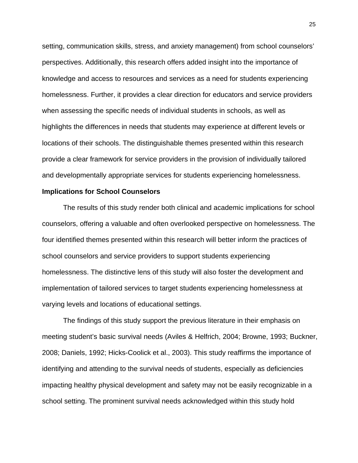setting, communication skills, stress, and anxiety management) from school counselors' perspectives. Additionally, this research offers added insight into the importance of knowledge and access to resources and services as a need for students experiencing homelessness. Further, it provides a clear direction for educators and service providers when assessing the specific needs of individual students in schools, as well as highlights the differences in needs that students may experience at different levels or locations of their schools. The distinguishable themes presented within this research provide a clear framework for service providers in the provision of individually tailored and developmentally appropriate services for students experiencing homelessness.

## **Implications for School Counselors**

The results of this study render both clinical and academic implications for school counselors, offering a valuable and often overlooked perspective on homelessness. The four identified themes presented within this research will better inform the practices of school counselors and service providers to support students experiencing homelessness. The distinctive lens of this study will also foster the development and implementation of tailored services to target students experiencing homelessness at varying levels and locations of educational settings.

The findings of this study support the previous literature in their emphasis on meeting student's basic survival needs (Aviles & Helfrich, 2004; Browne, 1993; Buckner, 2008; Daniels, 1992; Hicks-Coolick et al., 2003). This study reaffirms the importance of identifying and attending to the survival needs of students, especially as deficiencies impacting healthy physical development and safety may not be easily recognizable in a school setting. The prominent survival needs acknowledged within this study hold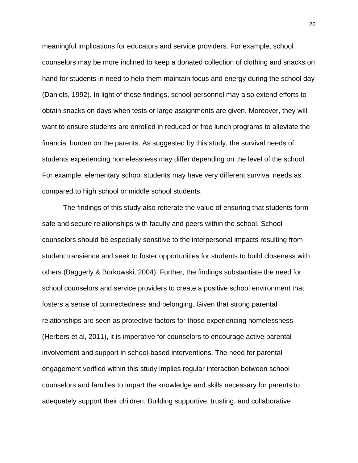meaningful implications for educators and service providers. For example, school counselors may be more inclined to keep a donated collection of clothing and snacks on hand for students in need to help them maintain focus and energy during the school day (Daniels, 1992). In light of these findings, school personnel may also extend efforts to obtain snacks on days when tests or large assignments are given. Moreover, they will want to ensure students are enrolled in reduced or free lunch programs to alleviate the financial burden on the parents. As suggested by this study, the survival needs of students experiencing homelessness may differ depending on the level of the school. For example, elementary school students may have very different survival needs as compared to high school or middle school students.

The findings of this study also reiterate the value of ensuring that students form safe and secure relationships with faculty and peers within the school. School counselors should be especially sensitive to the interpersonal impacts resulting from student transience and seek to foster opportunities for students to build closeness with others (Baggerly & Borkowski, 2004). Further, the findings substantiate the need for school counselors and service providers to create a positive school environment that fosters a sense of connectedness and belonging. Given that strong parental relationships are seen as protective factors for those experiencing homelessness (Herbers et al, 2011), it is imperative for counselors to encourage active parental involvement and support in school-based interventions. The need for parental engagement verified within this study implies regular interaction between school counselors and families to impart the knowledge and skills necessary for parents to adequately support their children. Building supportive, trusting, and collaborative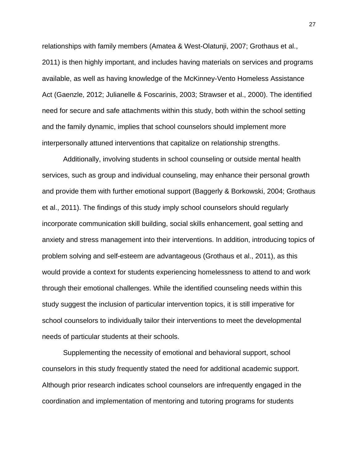relationships with family members (Amatea & West-Olatunji, 2007; Grothaus et al., 2011) is then highly important, and includes having materials on services and programs available, as well as having knowledge of the McKinney-Vento Homeless Assistance Act (Gaenzle, 2012; Julianelle & Foscarinis, 2003; Strawser et al., 2000). The identified need for secure and safe attachments within this study, both within the school setting and the family dynamic, implies that school counselors should implement more interpersonally attuned interventions that capitalize on relationship strengths.

Additionally, involving students in school counseling or outside mental health services, such as group and individual counseling, may enhance their personal growth and provide them with further emotional support (Baggerly & Borkowski, 2004; Grothaus et al., 2011). The findings of this study imply school counselors should regularly incorporate communication skill building, social skills enhancement, goal setting and anxiety and stress management into their interventions. In addition, introducing topics of problem solving and self-esteem are advantageous (Grothaus et al., 2011), as this would provide a context for students experiencing homelessness to attend to and work through their emotional challenges. While the identified counseling needs within this study suggest the inclusion of particular intervention topics, it is still imperative for school counselors to individually tailor their interventions to meet the developmental needs of particular students at their schools.

Supplementing the necessity of emotional and behavioral support, school counselors in this study frequently stated the need for additional academic support. Although prior research indicates school counselors are infrequently engaged in the coordination and implementation of mentoring and tutoring programs for students

27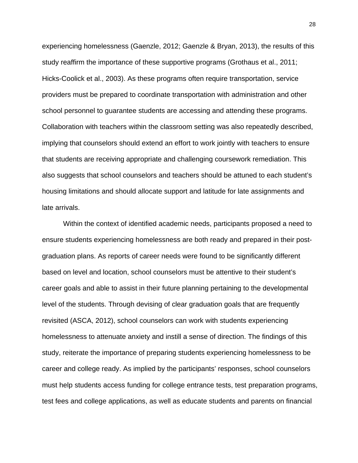experiencing homelessness (Gaenzle, 2012; Gaenzle & Bryan, 2013), the results of this study reaffirm the importance of these supportive programs (Grothaus et al., 2011; Hicks-Coolick et al., 2003). As these programs often require transportation, service providers must be prepared to coordinate transportation with administration and other school personnel to guarantee students are accessing and attending these programs. Collaboration with teachers within the classroom setting was also repeatedly described, implying that counselors should extend an effort to work jointly with teachers to ensure that students are receiving appropriate and challenging coursework remediation. This also suggests that school counselors and teachers should be attuned to each student's housing limitations and should allocate support and latitude for late assignments and late arrivals.

Within the context of identified academic needs, participants proposed a need to ensure students experiencing homelessness are both ready and prepared in their postgraduation plans. As reports of career needs were found to be significantly different based on level and location, school counselors must be attentive to their student's career goals and able to assist in their future planning pertaining to the developmental level of the students. Through devising of clear graduation goals that are frequently revisited (ASCA, 2012), school counselors can work with students experiencing homelessness to attenuate anxiety and instill a sense of direction. The findings of this study, reiterate the importance of preparing students experiencing homelessness to be career and college ready. As implied by the participants' responses, school counselors must help students access funding for college entrance tests, test preparation programs, test fees and college applications, as well as educate students and parents on financial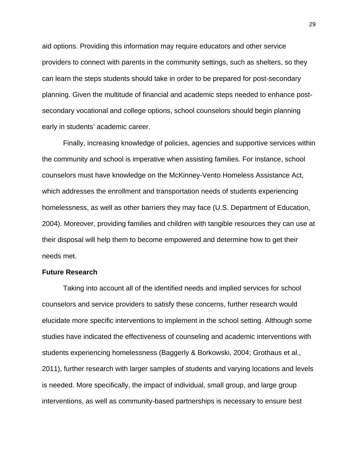aid options. Providing this information may require educators and other service providers to connect with parents in the community settings, such as shelters, so they can learn the steps students should take in order to be prepared for post-secondary planning. Given the multitude of financial and academic steps needed to enhance postsecondary vocational and college options, school counselors should begin planning early in students' academic career.

Finally, increasing knowledge of policies, agencies and supportive services within the community and school is imperative when assisting families. For instance, school counselors must have knowledge on the McKinney-Vento Homeless Assistance Act, which addresses the enrollment and transportation needs of students experiencing homelessness, as well as other barriers they may face (U.S. Department of Education, 2004). Moreover, providing families and children with tangible resources they can use at their disposal will help them to become empowered and determine how to get their needs met.

#### **Future Research**

Taking into account all of the identified needs and implied services for school counselors and service providers to satisfy these concerns, further research would elucidate more specific interventions to implement in the school setting. Although some studies have indicated the effectiveness of counseling and academic interventions with students experiencing homelessness (Baggerly & Borkowski, 2004; Grothaus et al., 2011), further research with larger samples of students and varying locations and levels is needed. More specifically, the impact of individual, small group, and large group interventions, as well as community-based partnerships is necessary to ensure best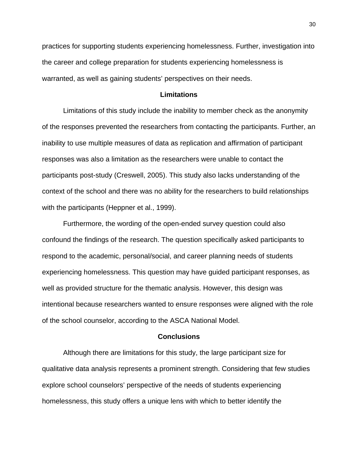practices for supporting students experiencing homelessness. Further, investigation into the career and college preparation for students experiencing homelessness is warranted, as well as gaining students' perspectives on their needs.

## **Limitations**

Limitations of this study include the inability to member check as the anonymity of the responses prevented the researchers from contacting the participants. Further, an inability to use multiple measures of data as replication and affirmation of participant responses was also a limitation as the researchers were unable to contact the participants post-study (Creswell, 2005). This study also lacks understanding of the context of the school and there was no ability for the researchers to build relationships with the participants (Heppner et al., 1999).

Furthermore, the wording of the open-ended survey question could also confound the findings of the research. The question specifically asked participants to respond to the academic, personal/social, and career planning needs of students experiencing homelessness. This question may have guided participant responses, as well as provided structure for the thematic analysis. However, this design was intentional because researchers wanted to ensure responses were aligned with the role of the school counselor, according to the ASCA National Model.

#### **Conclusions**

Although there are limitations for this study, the large participant size for qualitative data analysis represents a prominent strength. Considering that few studies explore school counselors' perspective of the needs of students experiencing homelessness, this study offers a unique lens with which to better identify the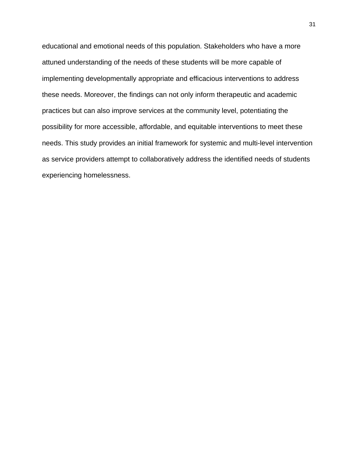educational and emotional needs of this population. Stakeholders who have a more attuned understanding of the needs of these students will be more capable of implementing developmentally appropriate and efficacious interventions to address these needs. Moreover, the findings can not only inform therapeutic and academic practices but can also improve services at the community level, potentiating the possibility for more accessible, affordable, and equitable interventions to meet these needs. This study provides an initial framework for systemic and multi-level intervention as service providers attempt to collaboratively address the identified needs of students experiencing homelessness.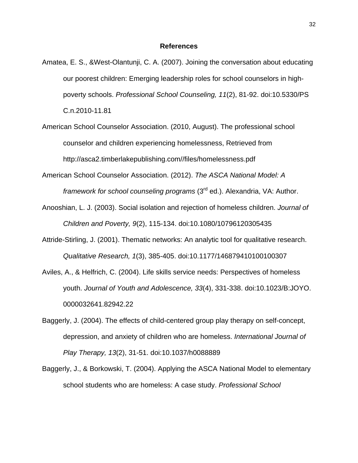#### **References**

- Amatea, E. S., &West-Olantunji, C. A. (2007). Joining the conversation about educating our poorest children: Emerging leadership roles for school counselors in highpoverty schools. *Professional School Counseling, 11*(2), 81-92. doi:10.5330/PS C.n.2010-11.81
- American School Counselor Association. (2010, August). The professional school counselor and children experiencing homelessness, Retrieved from http://asca2.timberlakepublishing.com//files/homelessness.pdf
- American School Counselor Association. (2012). *The ASCA National Model: A framework for school counseling programs* (3rd ed.). Alexandria, VA: Author.
- Anooshian, L. J. (2003). Social isolation and rejection of homeless children. *Journal of Children and Poverty, 9*(2), 115-134. doi:10.1080/10796120305435
- Attride-Stirling, J. (2001). Thematic networks: An analytic tool for qualitative research. *Qualitative Research, 1*(3), 385-405. doi:10.1177/146879410100100307
- Aviles, A., & Helfrich, C. (2004). Life skills service needs: Perspectives of homeless youth. *Journal of Youth and Adolescence, 33*(4), 331-338. doi:10.1023/B:JOYO. 0000032641.82942.22
- Baggerly, J. (2004). The effects of child-centered group play therapy on self-concept, depression, and anxiety of children who are homeless. *International Journal of Play Therapy, 13*(2), 31-51. doi:10.1037/h0088889
- Baggerly, J., & Borkowski, T. (2004). Applying the ASCA National Model to elementary school students who are homeless: A case study. *Professional School*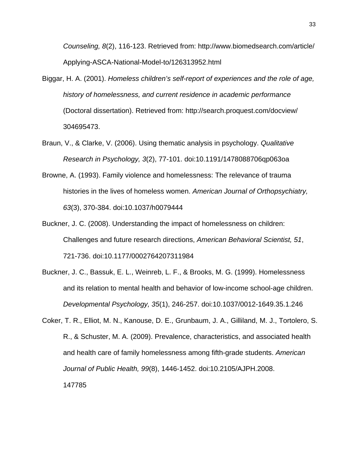*Counseling, 8*(2), 116-123. Retrieved from: http://www.biomedsearch.com/article/ Applying-ASCA-National-Model-to/126313952.html

- Biggar, H. A. (2001). *Homeless children's self-report of experiences and the role of age, history of homelessness, and current residence in academic performance* (Doctoral dissertation). Retrieved from: http://search.proquest.com/docview/ 304695473.
- Braun, V., & Clarke, V. (2006). Using thematic analysis in psychology. *Qualitative Research in Psychology, 3*(2), 77-101. doi:10.1191/1478088706qp063oa
- Browne, A. (1993). Family violence and homelessness: The relevance of trauma histories in the lives of homeless women. *American Journal of Orthopsychiatry, 63*(3), 370-384. doi:10.1037/h0079444
- Buckner, J. C. (2008). Understanding the impact of homelessness on children: Challenges and future research directions, *American Behavioral Scientist, 51*, 721-736. doi:10.1177/0002764207311984
- Buckner, J. C., Bassuk, E. L., Weinreb, L. F., & Brooks, M. G. (1999). Homelessness and its relation to mental health and behavior of low-income school-age children. *Developmental Psychology, 35*(1), 246-257. doi:10.1037/0012-1649.35.1.246
- Coker, T. R., Elliot, M. N., Kanouse, D. E., Grunbaum, J. A., Gilliland, M. J., Tortolero, S. R., & Schuster, M. A. (2009). Prevalence, characteristics, and associated health and health care of family homelessness among fifth-grade students. *American Journal of Public Health, 99*(8), 1446-1452. doi:10.2105/AJPH.2008. 147785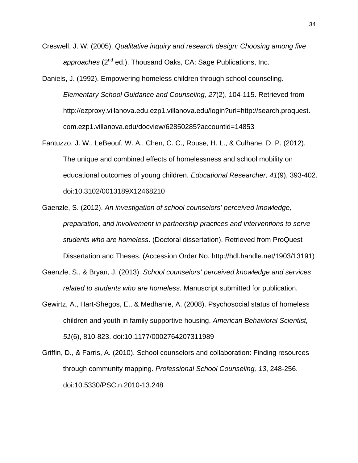- Creswell, J. W. (2005). *Qualitative inquiry and research design: Choosing among five approaches* (2nd ed.). Thousand Oaks, CA: Sage Publications, Inc.
- Daniels, J. (1992). Empowering homeless children through school counseling. *Elementary School Guidance and Counseling, 27*(2), 104-115. Retrieved from http://ezproxy.villanova.edu.ezp1.villanova.edu/login?url=http://search.proquest. com.ezp1.villanova.edu/docview/62850285?accountid=14853
- Fantuzzo, J. W., LeBeouf, W. A., Chen, C. C., Rouse, H. L., & Culhane, D. P. (2012). The unique and combined effects of homelessness and school mobility on educational outcomes of young children. *Educational Researcher, 41*(9), 393-402. doi:10.3102/0013189X12468210
- Gaenzle, S. (2012). *An investigation of school counselors' perceived knowledge, preparation, and involvement in partnership practices and interventions to serve students who are homeless*. (Doctoral dissertation). Retrieved from ProQuest Dissertation and Theses. (Accession Order No. http://hdl.handle.net/1903/13191)
- Gaenzle, S., & Bryan, J. (2013). *School counselors' perceived knowledge and services related to students who are homeless*. Manuscript submitted for publication.
- Gewirtz, A., Hart-Shegos, E., & Medhanie, A. (2008). Psychosocial status of homeless children and youth in family supportive housing. *American Behavioral Scientist, 51*(6), 810-823. doi:10.1177/0002764207311989
- Griffin, D., & Farris, A. (2010). School counselors and collaboration: Finding resources through community mapping. *Professional School Counseling, 13*, 248-256. doi:10.5330/PSC.n.2010-13.248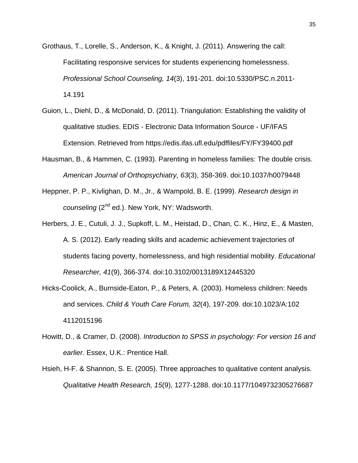- Grothaus, T., Lorelle, S., Anderson, K., & Knight, J. (2011). Answering the call: Facilitating responsive services for students experiencing homelessness. *Professional School Counseling, 14*(3), 191-201. doi:10.5330/PSC.n.2011- 14.191
- Guion, L., Diehl, D., & McDonald, D. (2011). Triangulation: Establishing the validity of qualitative studies. EDIS - Electronic Data Information Source - UF/IFAS Extension. Retrieved from https://edis.ifas.ufl.edu/pdffiles/FY/FY39400.pdf
- Hausman, B., & Hammen, C. (1993). Parenting in homeless families: The double crisis. *American Journal of Orthopsychiatry, 63*(3), 358-369. doi:10.1037/h0079448
- Heppner, P. P., Kivlighan, D. M., Jr., & Wampold, B. E. (1999). *Research design in counseling* (2nd ed.). New York, NY: Wadsworth.
- Herbers, J. E., Cutuli, J. J., Supkoff, L. M., Heistad, D., Chan, C. K., Hinz, E., & Masten, A. S. (2012). Early reading skills and academic achievement trajectories of students facing poverty, homelessness, and high residential mobility. *Educational Researcher, 41*(9), 366-374. doi:10.3102/0013189X12445320
- Hicks-Coolick, A., Burnside-Eaton, P., & Peters, A. (2003). Homeless children: Needs and services. *Child & Youth Care Forum, 32*(4), 197-209. doi:10.1023/A:102 4112015196
- Howitt, D., & Cramer, D. (2008). *Introduction to SPSS in psychology: For version 16 and earlier.* Essex, U.K.: Prentice Hall.
- Hsieh, H-F. & Shannon, S. E. (2005). Three approaches to qualitative content analysis. *Qualitative Health Research, 15*(9), 1277-1288. doi:10.1177/1049732305276687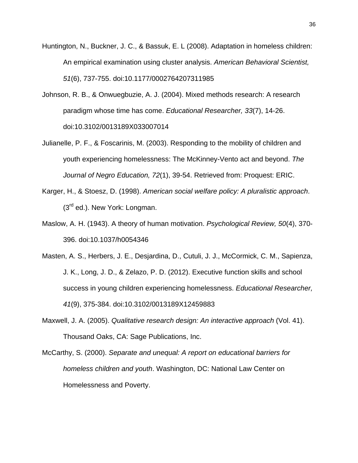- Huntington, N., Buckner, J. C., & Bassuk, E. L (2008). Adaptation in homeless children: An empirical examination using cluster analysis. *American Behavioral Scientist, 51*(6), 737-755. doi:10.1177/0002764207311985
- Johnson, R. B., & Onwuegbuzie, A. J. (2004). Mixed methods research: A research paradigm whose time has come. *Educational Researcher, 33*(7), 14-26. doi:10.3102/0013189X033007014
- Julianelle, P. F., & Foscarinis, M. (2003). Responding to the mobility of children and youth experiencing homelessness: The McKinney-Vento act and beyond. *The Journal of Negro Education, 72*(1), 39-54. Retrieved from: Proquest: ERIC.
- Karger, H., & Stoesz, D. (1998). *American social welfare policy: A pluralistic approach*.  $(3<sup>rd</sup>$  ed.). New York: Longman.
- Maslow, A. H. (1943). A theory of human motivation. *Psychological Review, 50*(4), 370- 396. doi:10.1037/h0054346
- Masten, A. S., Herbers, J. E., Desjardina, D., Cutuli, J. J., McCormick, C. M., Sapienza, J. K., Long, J. D., & Zelazo, P. D. (2012). Executive function skills and school success in young children experiencing homelessness. *Educational Researcher, 41*(9), 375-384. doi:10.3102/0013189X12459883
- Maxwell, J. A. (2005). *Qualitative research design: An interactive approach* (Vol. 41). Thousand Oaks, CA: Sage Publications, Inc.
- McCarthy, S. (2000). *Separate and unequal: A report on educational barriers for homeless children and youth*. Washington, DC: National Law Center on Homelessness and Poverty.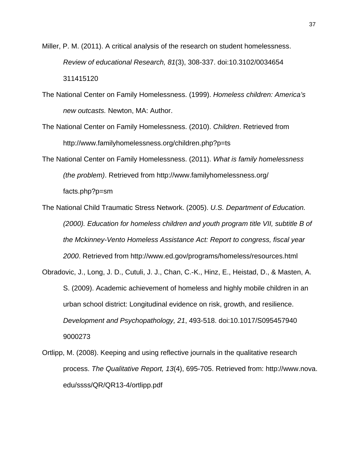- Miller, P. M. (2011). A critical analysis of the research on student homelessness. *Review of educational Research, 81*(3), 308-337. doi:10.3102/0034654 311415120
- The National Center on Family Homelessness. (1999). *Homeless children: America's new outcasts.* Newton, MA: Author.
- The National Center on Family Homelessness. (2010). *Children*. Retrieved from http://www.familyhomelessness.org/children.php?p=ts
- The National Center on Family Homelessness. (2011). *What is family homelessness (the problem)*. Retrieved from http://www.familyhomelessness.org/ facts.php?p=sm
- The National Child Traumatic Stress Network. (2005). *U.S. Department of Education. (2000). Education for homeless children and youth program title VII, subtitle B of the Mckinney-Vento Homeless Assistance Act: Report to congress, fiscal year 2000*. Retrieved from http://www.ed.gov/programs/homeless/resources.html
- Obradovic, J., Long, J. D., Cutuli, J. J., Chan, C.-K., Hinz, E., Heistad, D., & Masten, A. S. (2009). Academic achievement of homeless and highly mobile children in an urban school district: Longitudinal evidence on risk, growth, and resilience. *Development and Psychopathology, 21*, 493-518. doi:10.1017/S095457940 9000273
- Ortlipp, M. (2008). Keeping and using reflective journals in the qualitative research process. *The Qualitative Report, 13*(4), 695-705. Retrieved from: http://www.nova. edu/ssss/QR/QR13-4/ortlipp.pdf